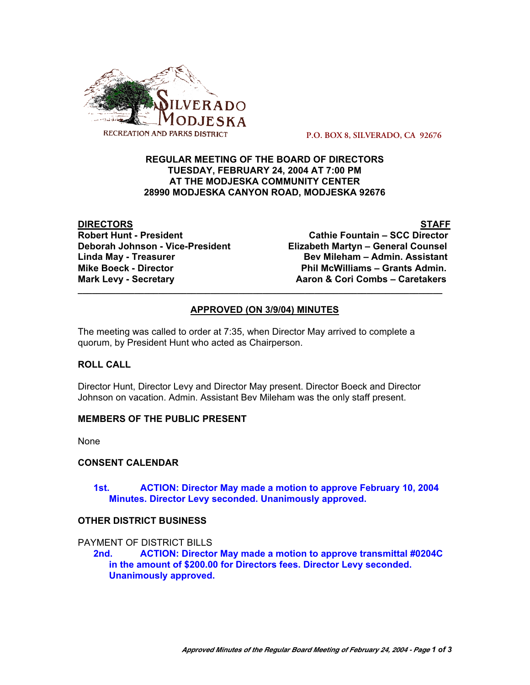

 **P.O. BOX 8, SILVERADO, CA 92676**

## **REGULAR MEETING OF THE BOARD OF DIRECTORS TUESDAY, FEBRUARY 24, 2004 AT 7:00 PM AT THE MODJESKA COMMUNITY CENTER 28990 MODJESKA CANYON ROAD, MODJESKA 92676**

**DIRECTORS STAFF Mike Boeck - Director Phil McWilliams – Grants Admin. Mark Levy - Secretary Combusing Combusing Combusing Combusing Caretakers** 

**Robert Hunt - President Cathie Fountain – SCC Director Deborah Johnson - Vice-President Elizabeth Martyn – General Counsel** Linda May - Treasurer **Bev Mileham – Admin. Assistant** 

# **APPROVED (ON 3/9/04) MINUTES**

**\_\_\_\_\_\_\_\_\_\_\_\_\_\_\_\_\_\_\_\_\_\_\_\_\_\_\_\_\_\_\_\_\_\_\_\_\_\_\_\_\_\_\_\_\_\_\_\_\_\_\_\_\_\_\_\_\_\_\_\_\_\_\_\_\_\_\_\_\_\_\_\_\_\_\_\_\_**

The meeting was called to order at 7:35, when Director May arrived to complete a quorum, by President Hunt who acted as Chairperson.

# **ROLL CALL**

Director Hunt, Director Levy and Director May present. Director Boeck and Director Johnson on vacation. Admin. Assistant Bev Mileham was the only staff present.

### **MEMBERS OF THE PUBLIC PRESENT**

None

### **CONSENT CALENDAR**

## **1st. ACTION: Director May made a motion to approve February 10, 2004 Minutes. Director Levy seconded. Unanimously approved.**

### **OTHER DISTRICT BUSINESS**

PAYMENT OF DISTRICT BILLS

**2nd. ACTION: Director May made a motion to approve transmittal #0204C in the amount of \$200.00 for Directors fees. Director Levy seconded. Unanimously approved.**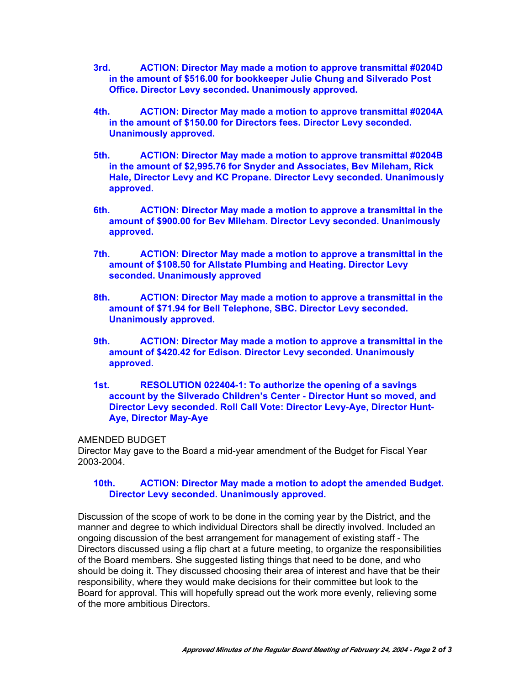- **3rd. ACTION: Director May made a motion to approve transmittal #0204D in the amount of \$516.00 for bookkeeper Julie Chung and Silverado Post Office. Director Levy seconded. Unanimously approved.**
- **4th. ACTION: Director May made a motion to approve transmittal #0204A in the amount of \$150.00 for Directors fees. Director Levy seconded. Unanimously approved.**
- **5th. ACTION: Director May made a motion to approve transmittal #0204B in the amount of \$2,995.76 for Snyder and Associates, Bev Mileham, Rick Hale, Director Levy and KC Propane. Director Levy seconded. Unanimously approved.**
- **6th. ACTION: Director May made a motion to approve a transmittal in the amount of \$900.00 for Bev Mileham. Director Levy seconded. Unanimously approved.**
- **7th. ACTION: Director May made a motion to approve a transmittal in the amount of \$108.50 for Allstate Plumbing and Heating. Director Levy seconded. Unanimously approved**
- **8th. ACTION: Director May made a motion to approve a transmittal in the amount of \$71.94 for Bell Telephone, SBC. Director Levy seconded. Unanimously approved.**
- **9th. ACTION: Director May made a motion to approve a transmittal in the amount of \$420.42 for Edison. Director Levy seconded. Unanimously approved.**
- **1st. RESOLUTION 022404-1: To authorize the opening of a savings account by the Silverado Children's Center - Director Hunt so moved, and Director Levy seconded. Roll Call Vote: Director Levy-Aye, Director Hunt-Aye, Director May-Aye**

### AMENDED BUDGET

Director May gave to the Board a mid-year amendment of the Budget for Fiscal Year 2003-2004.

### **10th. ACTION: Director May made a motion to adopt the amended Budget. Director Levy seconded. Unanimously approved.**

Discussion of the scope of work to be done in the coming year by the District, and the manner and degree to which individual Directors shall be directly involved. Included an ongoing discussion of the best arrangement for management of existing staff - The Directors discussed using a flip chart at a future meeting, to organize the responsibilities of the Board members. She suggested listing things that need to be done, and who should be doing it. They discussed choosing their area of interest and have that be their responsibility, where they would make decisions for their committee but look to the Board for approval. This will hopefully spread out the work more evenly, relieving some of the more ambitious Directors.